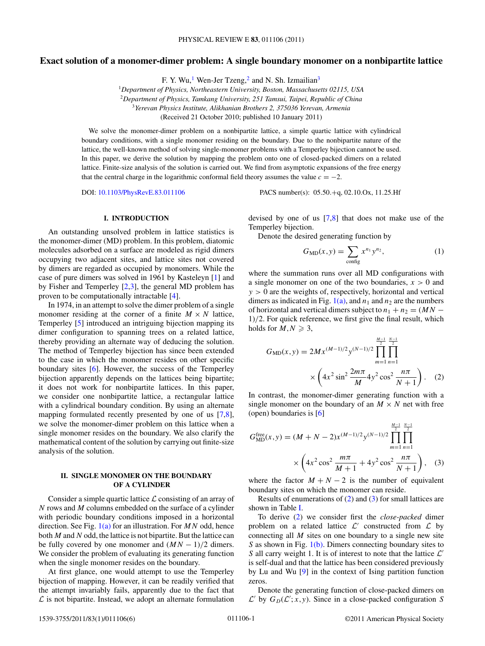# <span id="page-0-0"></span>**Exact solution of a monomer-dimer problem: A single boundary monomer on a nonbipartite lattice**

F. Y. Wu,<sup>1</sup> Wen-Jer Tzeng,<sup>2</sup> and N. Sh. Izmailian<sup>3</sup>

<sup>1</sup>*Department of Physics, Northeastern University, Boston, Massachusetts 02115, USA* <sup>2</sup>*Department of Physics, Tamkang University, 251 Tamsui, Taipei, Republic of China* <sup>3</sup>*Yerevan Physics Institute, Alikhanian Brothers 2, 375036 Yerevan, Armenia*

(Received 21 October 2010; published 10 January 2011)

We solve the monomer-dimer problem on a nonbipartite lattice, a simple quartic lattice with cylindrical boundary conditions, with a single monomer residing on the boundary. Due to the nonbipartite nature of the lattice, the well-known method of solving single-monomer problems with a Temperley bijection cannot be used. In this paper, we derive the solution by mapping the problem onto one of closed-packed dimers on a related lattice. Finite-size analysis of the solution is carried out. We find from asymptotic expansions of the free energy that the central charge in the logarithmic conformal field theory assumes the value  $c = -2$ .

DOI: [10.1103/PhysRevE.83.011106](http://dx.doi.org/10.1103/PhysRevE.83.011106) PACS number(s): 05*.*50*.*+q, 02*.*10*.*Ox, 11*.*25*.*Hf

## **I. INTRODUCTION**

An outstanding unsolved problem in lattice statistics is the monomer-dimer (MD) problem. In this problem, diatomic molecules adsorbed on a surface are modeled as rigid dimers occupying two adjacent sites, and lattice sites not covered by dimers are regarded as occupied by monomers. While the case of pure dimers was solved in 1961 by Kasteleyn [\[1\]](#page-5-0) and by Fisher and Temperley  $[2,3]$ , the general MD problem has proven to be computationally intractable [\[4\]](#page-5-0).

In 1974, in an attempt to solve the dimer problem of a single monomer residing at the corner of a finite  $M \times N$  lattice, Temperley [\[5\]](#page-5-0) introduced an intriguing bijection mapping its dimer configuration to spanning trees on a related lattice, thereby providing an alternate way of deducing the solution. The method of Temperley bijection has since been extended to the case in which the monomer resides on other specific boundary sites [\[6\]](#page-5-0). However, the success of the Temperley bijection apparently depends on the lattices being bipartite; it does not work for nonbipartite lattices. In this paper, we consider one nonbipartite lattice, a rectangular lattice with a cylindrical boundary condition. By using an alternate mapping formulated recently presented by one of us [\[7,8\]](#page-5-0), we solve the monomer-dimer problem on this lattice when a single monomer resides on the boundary. We also clarify the mathematical content of the solution by carrying out finite-size analysis of the solution.

# **II. SINGLE MONOMER ON THE BOUNDARY OF A CYLINDER**

Consider a simple quartic lattice  $\mathcal L$  consisting of an array of *N* rows and *M* columns embedded on the surface of a cylinder with periodic boundary conditions imposed in a horizontal direction. See Fig. [1\(a\)](#page-1-0) for an illustration. For *MN* odd, hence both *M* and *N* odd, the lattice is not bipartite. But the lattice can be fully covered by one monomer and  $(MN - 1)/2$  dimers. We consider the problem of evaluating its generating function when the single monomer resides on the boundary.

At first glance, one would attempt to use the Temperley bijection of mapping. However, it can be readily verified that the attempt invariably fails, apparently due to the fact that  $\mathcal L$  is not bipartite. Instead, we adopt an alternate formulation

devised by one of us [\[7,8\]](#page-5-0) that does not make use of the Temperley bijection.

Denote the desired generating function by

$$
G_{\rm MD}(x,y) = \sum_{\text{config}} x^{n_1} y^{n_2},\tag{1}
$$

where the summation runs over all MD configurations with a single monomer on one of the two boundaries,  $x > 0$  and *y >* 0 are the weights of, respectively, horizontal and vertical dimers as indicated in Fig.  $1(a)$ , and  $n_1$  and  $n_2$  are the numbers of horizontal and vertical dimers subject to  $n_1 + n_2 = (MN -$ 1)*/*2. For quick reference, we first give the final result, which holds for  $M, N \geq 3$ ,

$$
G_{\rm MD}(x, y) = 2Mx^{(M-1)/2}y^{(N-1)/2} \prod_{m=1}^{\frac{M-1}{2}} \prod_{n=1}^{\frac{N-1}{2}} \prod_{n=1}^{\frac{N-1}{2}} \times \left(4x^2 \sin^2 \frac{2m\pi}{M} 4y^2 \cos^2 \frac{n\pi}{N+1}\right). \tag{2}
$$

In contrast, the monomer-dimer generating function with a single monomer on the boundary of an  $M \times N$  net with free (open) boundaries is [\[6\]](#page-5-0)

$$
G_{\rm MD}^{\rm free}(x, y) = (M + N - 2)x^{(M-1)/2}y^{(N-1)/2} \prod_{m=1}^{\frac{M-1}{2}} \prod_{n=1}^{\frac{N-1}{2}}
$$
  
×  $\left(4x^2 \cos^2 \frac{m\pi}{M+1} + 4y^2 \cos^2 \frac{n\pi}{N+1}\right)$ , (3)

where the factor  $M + N - 2$  is the number of equivalent boundary sites on which the monomer can reside.

Results of enumerations of (2) and (3) for small lattices are shown in Table [I.](#page-1-0)

To derive (2) we consider first the *close-packed* dimer problem on a related lattice  $\mathcal{L}'$  constructed from  $\mathcal{L}$  by connecting all *M* sites on one boundary to a single new site *S* as shown in Fig. [1\(b\).](#page-1-0) Dimers connecting boundary sites to *S* all carry weight 1. It is of interest to note that the lattice  $\mathcal{L}'$ is self-dual and that the lattice has been considered previously by Lu and Wu [\[9\]](#page-5-0) in the context of Ising partition function zeros.

Denote the generating function of close-packed dimers on  $\mathcal{L}'$  by  $G_D(\mathcal{L}'; x, y)$ . Since in a close-packed configuration *S*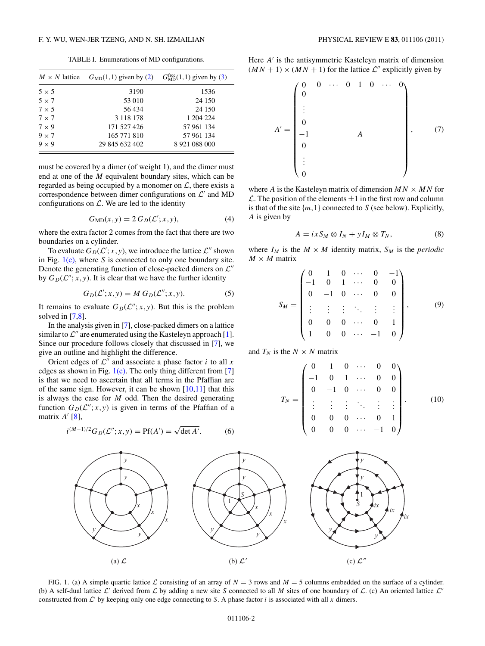TABLE I. Enumerations of MD configurations.

<span id="page-1-0"></span>

| $M \times N$ lattice | $GMD(1,1)$ given by (2) | $G_{MD}^{free}(1,1)$ given by (3) |
|----------------------|-------------------------|-----------------------------------|
| $5 \times 5$         | 3190                    | 1536                              |
| $5 \times 7$         | 53 010                  | 24 150                            |
| $7 \times 5$         | 56434                   | 24 150                            |
| $7 \times 7$         | 3 1 1 8 1 7 8           | 1 204 224                         |
| $7 \times 9$         | 171 527 426             | 57 961 134                        |
| $9 \times 7$         | 165 771 810             | 57 961 134                        |
| $9 \times 9$         | 29 845 632 402          | 8 921 088 000                     |

must be covered by a dimer (of weight 1), and the dimer must end at one of the *M* equivalent boundary sites, which can be regarded as being occupied by a monomer on  $\mathcal{L}$ , there exists a correspondence between dimer configurations on  $\mathcal{L}'$  and MD configurations on  $\mathcal{L}$ . We are led to the identity

$$
G_{\rm MD}(x, y) = 2 G_D(\mathcal{L}'; x, y), \tag{4}
$$

where the extra factor 2 comes from the fact that there are two boundaries on a cylinder.

To evaluate  $G_D(\mathcal{L}'; x, y)$ , we introduce the lattice  $\mathcal{L}''$  shown in Fig. 1(c), where *S* is connected to only one boundary site. Denote the generating function of close-packed dimers on  $\mathcal{L}''$ by  $G_D(\mathcal{L}''; x, y)$ . It is clear that we have the further identity

$$
G_D(\mathcal{L}'; x, y) = M G_D(\mathcal{L}''; x, y).
$$
 (5)

It remains to evaluate  $G_D(\mathcal{L}''; x, y)$ . But this is the problem solved in  $[7,8]$ .

In the analysis given in [\[7\]](#page-5-0), close-packed dimers on a lattice similar to  $\mathcal{L}''$  are enumerated using the Kasteleyn approach [\[1\]](#page-5-0). Since our procedure follows closely that discussed in [\[7\]](#page-5-0), we give an outline and highlight the difference.

Orient edges of  $\mathcal{L}^{\prime\prime}$  and associate a phase factor *i* to all *x* edges as shown in Fig.  $1(c)$ . The only thing different from [\[7\]](#page-5-0) is that we need to ascertain that all terms in the Pfaffian are of the same sign. However, it can be shown  $[10,11]$  that this is always the case for *M* odd. Then the desired generating function  $G_D(\mathcal{L}''; x, y)$  is given in terms of the Pfaffian of a matrix  $A'$  [\[8\]](#page-5-0),

$$
i^{(M-1)/2}G_D(\mathcal{L}''; x, y) = Pf(A') = \sqrt{\det A'}. \tag{6}
$$

Here *A'* is the antisymmetric Kasteleyn matrix of dimension  $(MN + 1) \times (MN + 1)$  for the lattice  $\mathcal{L}''$  explicitly given by

$$
A' = \begin{pmatrix} 0 & 0 & \cdots & 0 & 1 & 0 & \cdots & 0 \\ 0 & & & & & & \\ \vdots & & & & & & \\ 0 & & & & & & \\ 0 & & & & & & \\ 0 & & & & & & \\ \vdots & & & & & & \\ 0 & & & & & & \\ 0 & & & & & & \\ 0 & & & & & & \\ \end{pmatrix}, \qquad (7)
$$

where *A* is the Kasteleyn matrix of dimension  $MN \times MN$  for  $\mathcal{L}$ . The position of the elements  $\pm 1$  in the first row and column is that of the site {*m,*1} connected to *S* (see below). Explicitly, *A* is given by

$$
A = ixS_M \otimes I_N + yI_M \otimes T_N, \qquad (8)
$$

where  $I_M$  is the  $M \times M$  identity matrix,  $S_M$  is the *periodic*  $M \times M$  matrix

$$
S_M = \begin{pmatrix} 0 & 1 & 0 & \cdots & 0 & -1 \\ -1 & 0 & 1 & \cdots & 0 & 0 \\ 0 & -1 & 0 & \cdots & 0 & 0 \\ \vdots & \vdots & \vdots & \ddots & \vdots & \vdots \\ 0 & 0 & 0 & \cdots & 0 & 1 \\ 1 & 0 & 0 & \cdots & -1 & 0 \end{pmatrix}, \qquad (9)
$$

and  $T_N$  is the  $N \times N$  matrix

$$
T_N = \begin{pmatrix} 0 & 1 & 0 & \cdots & 0 & 0 \\ -1 & 0 & 1 & \cdots & 0 & 0 \\ 0 & -1 & 0 & \cdots & 0 & 0 \\ \vdots & \vdots & \vdots & \ddots & \vdots & \vdots \\ 0 & 0 & 0 & \cdots & 0 & 1 \\ 0 & 0 & 0 & \cdots & -1 & 0 \end{pmatrix}.
$$
 (10)



FIG. 1. (a) A simple quartic lattice  $\mathcal L$  consisting of an array of  $N = 3$  rows and  $M = 5$  columns embedded on the surface of a cylinder. (b) A self-dual lattice  $\mathcal{L}'$  derived from  $\mathcal{L}$  by adding a new site *S* connected to all *M* sites of one boundary of  $\mathcal{L}$ . (c) An oriented lattice  $\mathcal{L}''$ constructed from  $\mathcal{L}'$  by keeping only one edge connecting to *S*. A phase factor *i* is associated with all *x* dimers.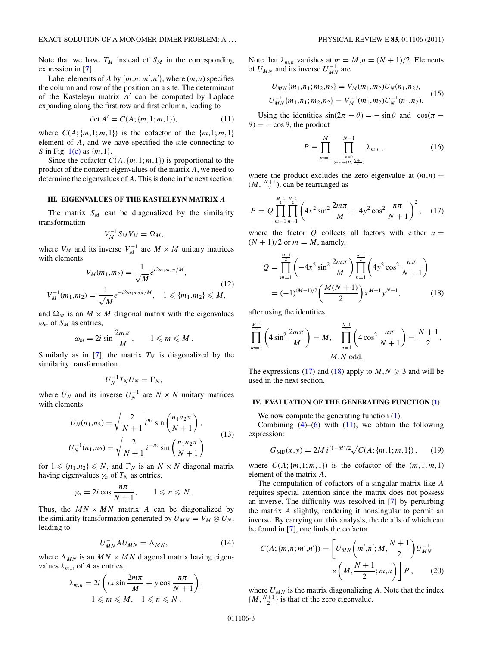<span id="page-2-0"></span>Note that we have  $T_M$  instead of  $S_M$  in the corresponding expression in [\[7\]](#page-5-0).

Label elements of *A* by  $\{m,n;m',n'\}$ , where  $(m,n)$  specifies the column and row of the position on a site. The determinant of the Kasteleyn matrix A' can be computed by Laplace expanding along the first row and first column, leading to

$$
\det A' = C(A; \{m, 1; m, 1\}),\tag{11}
$$

where  $C(A; \{m,1;m,1\})$  is the cofactor of the  $\{m,1;m,1\}$ element of *A*, and we have specified the site connecting to *S* in Fig. [1\(c\)](#page-1-0) as {*m,*1}.

Since the cofactor  $C(A; \{m,1; m,1\})$  is proportional to the product of the nonzero eigenvalues of the matrix *A*, we need to determine the eigenvalues of *A*. This is done in the next section.

# **III. EIGENVALUES OF THE KASTELEYN MATRIX** *A*

The matrix  $S_M$  can be diagonalized by the similarity transformation

$$
V_M^{-1} S_M V_M = \Omega_M,
$$

where  $V_M$  and its inverse  $V_M^{-1}$  are  $M \times M$  unitary matrices with elements

$$
V_M(m_1, m_2) = \frac{1}{\sqrt{M}} e^{i2m_1 m_2 \pi/M},
$$
  
\n
$$
V_M^{-1}(m_1, m_2) = \frac{1}{\sqrt{M}} e^{-i2m_1 m_2 \pi/M}, \quad 1 \leq \{m_1, m_2\} \leq M,
$$
\n(12)

and  $\Omega_M$  is an  $M \times M$  diagonal matrix with the eigenvalues  $\omega_m$  of  $S_M$  as entries,

$$
\omega_m = 2i \sin \frac{2m\pi}{M}, \qquad 1 \leqslant m \leqslant M.
$$

Similarly as in [\[7\]](#page-5-0), the matrix  $T_N$  is diagonalized by the similarity transformation

$$
U_N^{-1}T_NU_N=\Gamma_N,
$$

where  $U_N$  and its inverse  $U_N^{-1}$  are  $N \times N$  unitary matrices with elements

$$
U_N(n_1, n_2) = \sqrt{\frac{2}{N+1}} i^{n_1} \sin\left(\frac{n_1 n_2 \pi}{N+1}\right),
$$
  

$$
U_N^{-1}(n_1, n_2) = \sqrt{\frac{2}{N+1}} i^{-n_2} \sin\left(\frac{n_1 n_2 \pi}{N+1}\right)
$$
 (13)

for  $1 \leq n_1, n_2 \leq N$ , and  $\Gamma_N$  is an  $N \times N$  diagonal matrix having eigenvalues  $\gamma_n$  of  $T_N$  as entries,

$$
\gamma_n = 2i \cos \frac{n\pi}{N+1}, \qquad 1 \leq n \leq N.
$$

Thus, the  $MN \times MN$  matrix *A* can be diagonalized by the similarity transformation generated by  $U_{MN} = V_M \otimes U_N$ , leading to

$$
U_{MN}^{-1}AU_{MN} = \Lambda_{MN},\qquad(14)
$$

where  $\Lambda_{MN}$  is an  $MN \times MN$  diagonal matrix having eigenvalues  $\lambda_{m,n}$  of *A* as entries,

$$
\lambda_{m,n} = 2i \left( ix \sin \frac{2m\pi}{M} + y \cos \frac{n\pi}{N+1} \right),
$$
  

$$
1 \leq m \leq M, \quad 1 \leq n \leq N.
$$

Note that  $\lambda_{m,n}$  vanishes at  $m = M, n = (N + 1)/2$ . Elements of  $U_{MN}$  and its inverse  $U_{MN}^{-1}$  are

$$
U_{MN}\{m_1, n_1; m_2, n_2\} = V_M(m_1, m_2)U_N(n_1, n_2),
$$
  
\n
$$
U_{MN}^{-1}\{m_1, n_1; m_2, n_2\} = V_M^{-1}(m_1, m_2)U_N^{-1}(n_1, n_2).
$$
\n(15)

Using the identities  $sin(2\pi - \theta) = -sin \theta$  and  $cos(\pi - \theta) = -sin \theta$  $\theta$ ) =  $-\cos \theta$ , the product

$$
P \equiv \prod_{m=1}^{M} \prod_{\substack{n=0 \ (m,n)\neq (M,\frac{N+1}{2})}}^{N-1} \lambda_{m,n} , \qquad (16)
$$

where the product excludes the zero eigenvalue at  $(m,n)$  =  $(M, \frac{N+1}{2})$ , can be rearranged as

$$
P = Q \prod_{m=1}^{\frac{M-1}{2}} \prod_{n=1}^{\frac{N-1}{2}} \left( 4x^2 \sin^2 \frac{2m\pi}{M} + 4y^2 \cos^2 \frac{n\pi}{N+1} \right)^2, \quad (17)
$$

where the factor  $Q$  collects all factors with either  $n =$  $(N + 1)/2$  or  $m = M$ , namely,

$$
Q = \prod_{m=1}^{\frac{M-1}{2}} \left( -4x^2 \sin^2 \frac{2m\pi}{M} \right) \prod_{n=1}^{\frac{N-1}{2}} \left( 4y^2 \cos^2 \frac{n\pi}{N+1} \right)
$$
  
=  $(-1)^{(M-1)/2} \left( \frac{M(N+1)}{2} \right) x^{M-1} y^{N-1},$  (18)

after using the identities

$$
\prod_{m=1}^{\frac{M-1}{2}} \left( 4 \sin^2 \frac{2m\pi}{M} \right) = M, \quad \prod_{n=1}^{\frac{N-1}{2}} \left( 4 \cos^2 \frac{n\pi}{N+1} \right) = \frac{N+1}{2},
$$
  
*M,N* odd.

The expressions (17) and (18) apply to  $M, N \geq 3$  and will be used in the next section.

#### **IV. EVALUATION OF THE GENERATING FUNCTION [\(1\)](#page-0-0)**

We now compute the generating function  $(1)$ .

Combining  $(4)$ – $(6)$  with  $(11)$ , we obtain the following expression:

$$
G_{\rm MD}(x, y) = 2M \, i^{(1-M)/2} \sqrt{C(A; \{m, 1; m, 1\})}, \qquad (19)
$$

where  $C(A; \{m,1;m,1\})$  is the cofactor of the  $(m,1;m,1)$ element of the matrix *A*.

The computation of cofactors of a singular matrix like *A* requires special attention since the matrix does not possess an inverse. The difficulty was resolved in [\[7\]](#page-5-0) by perturbing the matrix *A* slightly, rendering it nonsingular to permit an inverse. By carrying out this analysis, the details of which can be found in [\[7\]](#page-5-0), one finds the cofactor

$$
C(A; \{m,n;m',n'\}) = \left[U_{MN}\left(m',n';M,\frac{N+1}{2}\right)U_{MN}^{-1} + \times \left(M,\frac{N+1}{2};m,n\right)\right]P, \qquad (20)
$$

where  $U_{MN}$  is the matrix diagonalizing  $A$ . Note that the index  $\{M, \frac{N+1}{2}\}\$ is that of the zero eigenvalue.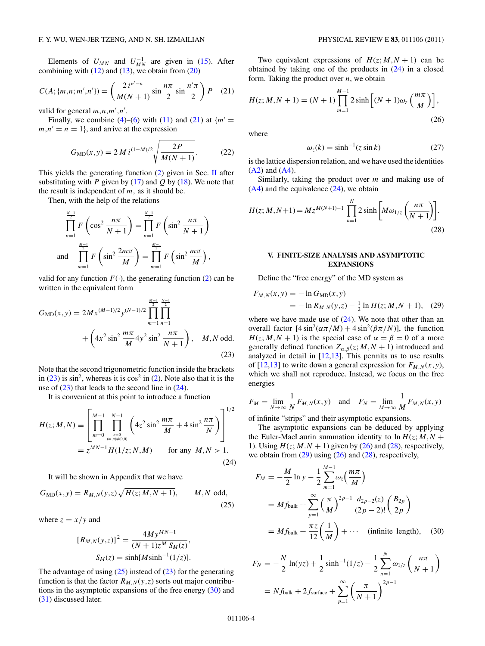<span id="page-3-0"></span>Elements of  $U_{MN}$  and  $U_{MN}^{-1}$  are given in [\(15\)](#page-2-0). After combining with  $(12)$  and  $(13)$ , we obtain from  $(20)$ 

$$
C(A; \{m, n; m', n'\}) = \left(\frac{2 i^{n'-n}}{M(N+1)} \sin \frac{n\pi}{2} \sin \frac{n'\pi}{2}\right) P \quad (21)
$$

valid for general  $m, n, m', n'$ .

Finally, we combine  $(4)$ – $(6)$  with  $(11)$  and  $(21)$  at  ${m' =}$  $m, n' = n = 1$ , and arrive at the expression

$$
G_{\rm MD}(x,y) = 2 \, M \, i^{(1-M)/2} \sqrt{\frac{2P}{M(N+1)}}. \tag{22}
$$

This yields the generating function  $(2)$  given in Sec. [II](#page-0-0) after substituting with *P* given by  $(17)$  and *Q* by  $(18)$ . We note that the result is independent of *m,* as it should be.

Then, with the help of the relations

$$
\prod_{n=1}^{\frac{N-1}{2}} F\left(\cos^2 \frac{n\pi}{N+1}\right) = \prod_{n=1}^{\frac{N-1}{2}} F\left(\sin^2 \frac{n\pi}{N+1}\right)
$$
  
and 
$$
\prod_{m=1}^{\frac{M-1}{2}} F\left(\sin^2 \frac{2m\pi}{M}\right) = \prod_{m=1}^{\frac{M-1}{2}} F\left(\sin^2 \frac{m\pi}{M}\right),
$$

valid for any function  $F(\cdot)$ , the generating function [\(2\)](#page-0-0) can be written in the equivalent form

$$
G_{\rm MD}(x, y) = 2Mx^{(M-1)/2}y^{(N-1)/2} \prod_{m=1}^{\frac{M-1}{2}} \prod_{n=1}^{\frac{N-1}{2}} \prod_{n=1}^{\frac{N-1}{2}} + \left(4x^2 \sin^2 \frac{m\pi}{M} 4y^2 \sin^2 \frac{n\pi}{N+1}\right), \quad M, N \text{ odd.}
$$
\n(23)

Note that the second trigonometric function inside the brackets in  $(23)$  is sin<sup>2</sup>, whereas it is  $\cos^2$  in  $(2)$ . Note also that it is the use of  $(23)$  that leads to the second line in  $(24)$ .

It is convenient at this point to introduce a function

$$
H(z; M, N) \equiv \left[ \prod_{m=0}^{M-1} \prod_{\substack{n=0 \ (m,n) \neq (0,0)}}^{N-1} \left( 4z^2 \sin^2 \frac{m\pi}{M} + 4 \sin^2 \frac{n\pi}{N} \right) \right]^{1/2}
$$
  
=  $z^{MN-1} H(1/z; N, M)$  for any  $M, N > 1$ . (24)

It will be shown in Appendix that we have

$$
G_{\text{MD}}(x, y) = R_{M, N}(y, z) \sqrt{H(z; M, N + 1)}, \qquad M, N \text{ odd},
$$
\n(25)

where  $z = x/y$  and

$$
[R_{M,N}(y,z)]^2 = \frac{4My^{MN-1}}{(N+1)z^M S_M(z)},
$$
  

$$
S_M(z) = \sinh[M \sinh^{-1}(1/z)].
$$

The advantage of using  $(25)$  instead of  $(23)$  for the generating function is that the factor  $R_{M,N}(y,z)$  sorts out major contributions in the asymptotic expansions of the free energy (30) and (31) discussed later.

Two equivalent expressions of  $H(z; M, N + 1)$  can be obtained by taking one of the products in  $(24)$  in a closed form. Taking the product over *n*, we obtain

$$
H(z; M, N + 1) = (N + 1) \prod_{m=1}^{M-1} 2 \sinh \left[ (N + 1) \omega_z \left( \frac{m\pi}{M} \right) \right],
$$
\n(26)

where

$$
\omega_z(k) = \sinh^{-1}(z \sin k) \tag{27}
$$

is the lattice dispersion relation, and we have used the identities [\(A2\)](#page-5-0) and [\(A4\)](#page-5-0).

Similarly, taking the product over *m* and making use of  $(A4)$  and the equivalence  $(24)$ , we obtain

$$
H(z; M, N+1) = M z^{M(N+1)-1} \prod_{n=1}^{N} 2 \sinh \left[ M \omega_{1/z} \left( \frac{n \pi}{N+1} \right) \right].
$$
\n(28)

### **V. FINITE-SIZE ANALYSIS AND ASYMPTOTIC EXPANSIONS**

Define the "free energy" of the MD system as

$$
F_{M,N}(x,y) = -\ln G_{\text{MD}}(x,y)
$$
  
=  $-\ln R_{M,N}(y,z) - \frac{1}{2}\ln H(z;M,N+1)$ , (29)

where we have made use of  $(24)$ . We note that other than an overall factor  $[4 \sin^2(\alpha \pi/M) + 4 \sin^2(\beta \pi/N)]$ , the function  $H(z; M, N + 1)$  is the special case of  $\alpha = \beta = 0$  of a more generally defined function  $Z_{\alpha,\beta}(z; M, N + 1)$  introduced and analyzed in detail in  $[12,13]$ . This permits us to use results of  $[12,13]$  to write down a general expression for  $F_{M,N}(x,y)$ , which we shall not reproduce. Instead, we focus on the free energies

$$
F_M = \lim_{N \to \infty} \frac{1}{N} F_{M,N}(x, y) \quad \text{and} \quad F_N = \lim_{M \to \infty} \frac{1}{M} F_{M,N}(x, y)
$$

of infinite "strips" and their asymptotic expansions.

The asymptotic expansions can be deduced by applying the Euler-MacLaurin summation identity to  $\ln H(z; M, N +$ 1). Using  $H(z; M.N + 1)$  given by (26) and (28), respectively, we obtain from  $(29)$  using  $(26)$  and  $(28)$ , respectively,

$$
F_M = -\frac{M}{2} \ln y - \frac{1}{2} \sum_{m=1}^{M-1} \omega_z \left(\frac{m\pi}{M}\right)
$$
  
= Mf<sub>bulk</sub> +  $\sum_{p=1}^{\infty} \left(\frac{\pi}{M}\right)^{2p-1} \frac{d_{2p-2}(z)}{(2p-2)!} \left(\frac{B_{2p}}{2p}\right)$   
= Mf<sub>bulk</sub> +  $\frac{\pi z}{12} \left(\frac{1}{M}\right) + \cdots$  (infinite length), (30)

$$
F_N = -\frac{N}{2}\ln(yz) + \frac{1}{2}\sinh^{-1}(1/z) - \frac{1}{2}\sum_{n=1}^{N}\omega_{1/z}\left(\frac{n\pi}{N+1}\right)
$$
  
=  $Nf_{\text{bulk}} + 2f_{\text{surface}} + \sum_{p=1}^{\infty}\left(\frac{\pi}{N+1}\right)^{2p-1}$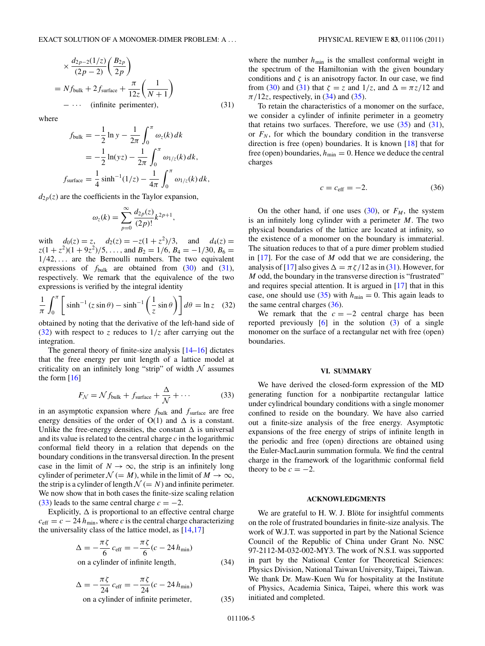<span id="page-4-0"></span>
$$
\times \frac{d_{2p-2}(1/z)}{(2p-2)} \left(\frac{B_{2p}}{2p}\right)
$$
  
=  $Nf_{\text{bulk}} + 2f_{\text{surface}} + \frac{\pi}{12z} \left(\frac{1}{N+1}\right)$   
-  $\cdots$  (infinite perimeter), (31)

where

$$
f_{\text{bulk}} = -\frac{1}{2} \ln y - \frac{1}{2\pi} \int_0^{\pi} \omega_z(k) dk
$$
  
=  $-\frac{1}{2} \ln(yz) - \frac{1}{2\pi} \int_0^{\pi} \omega_{1/z}(k) dk$ ,  
 $f_{\text{surface}} = \frac{1}{4} \sinh^{-1}(1/z) - \frac{1}{4\pi} \int_0^{\pi} \omega_{1/z}(k) dk$ ,

 $d_{2p}(z)$  are the coefficients in the Taylor expansion,

$$
\omega_z(k) = \sum_{p=0}^{\infty} \frac{d_{2p}(z)}{(2p)!} k^{2p+1},
$$

with  $d_0(z) = z$ ,  $d_2(z) = -z(1 + z^2)/3$ , and  $d_4(z) = z$  $z(1 + z^2)(1 + 9z^2)/5$ , ..., and  $B_2 = 1/6$ ,  $B_4 = -1/30$ ,  $B_6 =$ 1*/*42*,...* are the Bernoulli numbers. The two equivalent expressions of  $f_{\text{bulk}}$  are obtained from  $(30)$  and  $(31)$ , respectively. We remark that the equivalence of the two expressions is verified by the integral identity

$$
\frac{1}{\pi} \int_0^{\pi} \left[ \sinh^{-1} (z \sin \theta) - \sinh^{-1} \left( \frac{1}{z} \sin \theta \right) \right] d\theta = \ln z \quad (32)
$$

obtained by noting that the derivative of the left-hand side of (32) with respect to *z* reduces to  $1/z$  after carrying out the integration.

The general theory of finite-size analysis [\[14–16\]](#page-5-0) dictates that the free energy per unit length of a lattice model at criticality on an infinitely long "strip" of width  $N$  assumes the form [\[16\]](#page-5-0)

$$
F_{\mathcal{N}} = \mathcal{N} f_{\text{bulk}} + f_{\text{surface}} + \frac{\Delta}{\mathcal{N}} + \cdots
$$
 (33)

in an asymptotic expansion where  $f_{\text{bulk}}$  and  $f_{\text{surface}}$  are free energy densities of the order of  $O(1)$  and  $\Delta$  is a constant. Unlike the free-energy densities, the constant  $\Delta$  is universal and its value is related to the central charge *c* in the logarithmic conformal field theory in a relation that depends on the boundary conditions in the transversal direction. In the present case in the limit of  $N \to \infty$ , the strip is an infinitely long cylinder of perimeter  $\mathcal{N} (= M)$ , while in the limit of  $M \to \infty$ , the strip is a cylinder of length  $\mathcal{N} (= N)$  and infinite perimeter. We now show that in both cases the finite-size scaling relation  $(33)$  leads to the same central charge  $c = -2$ .

Explicitly,  $\Delta$  is proportional to an effective central charge  $c_{\text{eff}} = c - 24 h_{\text{min}}$ , where *c* is the central charge characterizing the universality class of the lattice model, as  $[14,17]$ 

$$
\Delta = -\frac{\pi \zeta}{6} c_{\text{eff}} = -\frac{\pi \zeta}{6} (c - 24 h_{\text{min}})
$$
  
on a cylinder of infinite length

on a cylinder of infinite length*,* (34)

$$
\Delta = -\frac{\pi \zeta}{24} c_{\text{eff}} = -\frac{\pi \zeta}{24} (c - 24 h_{\text{min}})
$$
  
on a cylinder of infinite perimeter, (35)

where the number  $h_{\text{min}}$  is the smallest conformal weight in the spectrum of the Hamiltonian with the given boundary conditions and  $\zeta$  is an anisotropy factor. In our case, we find from [\(30\)](#page-3-0) and [\(31\)](#page-3-0) that  $\zeta = z$  and  $1/z$ , and  $\Delta = \pi z/12$  and  $\pi/12z$ , respectively, in (34) and (35).

To retain the characteristics of a monomer on the surface, we consider a cylinder of infinite perimeter in a geometry that retains two surfaces. Therefore, we use  $(35)$  and  $(31)$ , or  $F_N$ , for which the boundary condition in the transverse direction is free (open) boundaries. It is known [\[18\]](#page-5-0) that for free (open) boundaries,  $h_{\min} = 0$ . Hence we deduce the central charges

$$
c = c_{\text{eff}} = -2. \tag{36}
$$

On the other hand, if one uses  $(30)$ , or  $F_M$ , the system is an infinitely long cylinder with a perimeter *M*. The two physical boundaries of the lattice are located at infinity, so the existence of a monomer on the boundary is immaterial. The situation reduces to that of a pure dimer problem studied in [\[17\]](#page-5-0). For the case of *M* odd that we are considering, the analysis of [\[17\]](#page-5-0) also gives  $\Delta = \pi \zeta / 12$  as in [\(31\)](#page-3-0). However, for *M* odd, the boundary in the transverse direction is "frustrated" and requires special attention. It is argued in [\[17\]](#page-5-0) that in this case, one should use (35) with  $h_{\text{min}} = 0$ . This again leads to the same central charges (36).

We remark that the  $c = -2$  central charge has been reported previously  $[6]$  in the solution  $(3)$  of a single monomer on the surface of a rectangular net with free (open) boundaries.

### **VI. SUMMARY**

We have derived the closed-form expression of the MD generating function for a nonbipartite rectangular lattice under cylindrical boundary conditions with a single monomer confined to reside on the boundary. We have also carried out a finite-size analysis of the free energy. Asymptotic expansions of the free energy of strips of infinite length in the periodic and free (open) directions are obtained using the Euler-MacLaurin summation formula. We find the central charge in the framework of the logarithmic conformal field theory to be  $c = -2$ .

## **ACKNOWLEDGMENTS**

We are grateful to H. W. J. Blöte for insightful comments on the role of frustrated boundaries in finite-size analysis. The work of W.J.T. was supported in part by the National Science Council of the Republic of China under Grant No. NSC 97-2112-M-032-002-MY3. The work of N.S.I. was supported in part by the National Center for Theoretical Sciences: Physics Division, National Taiwan University, Taipei, Taiwan. We thank Dr. Maw-Kuen Wu for hospitality at the Institute of Physics, Academia Sinica, Taipei, where this work was initiated and completed.